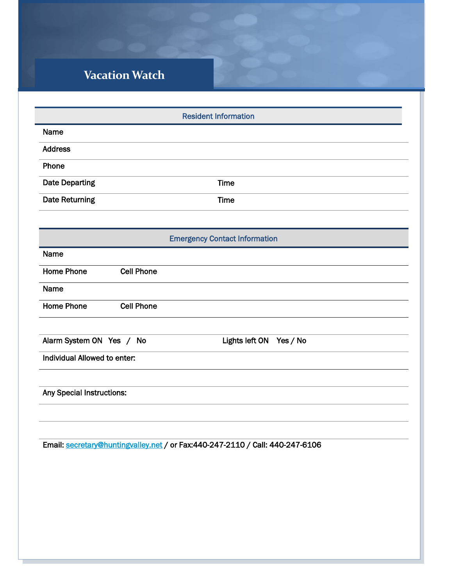## **Vacation Watch**

| <b>Resident Information</b>                            |
|--------------------------------------------------------|
| Name                                                   |
| <b>Address</b>                                         |
| Phone                                                  |
| <b>Date Departing</b><br><b>Time</b>                   |
| Date Returning<br><b>Time</b>                          |
|                                                        |
| <b>Emergency Contact Information</b>                   |
| Name                                                   |
| <b>Home Phone</b><br><b>Cell Phone</b>                 |
| Name                                                   |
| <b>Home Phone</b><br><b>Cell Phone</b>                 |
|                                                        |
| Alarm System ON Yes / No<br>Lights left ON<br>Yes / No |
| Individual Allowed to enter:                           |
|                                                        |
| Any Special Instructions:                              |
|                                                        |
|                                                        |

Email: [secretary@huntingvalley.net](mailto:secretary@huntingvalley.net) / or Fax:440-247-2110 / Call: 440-247-6106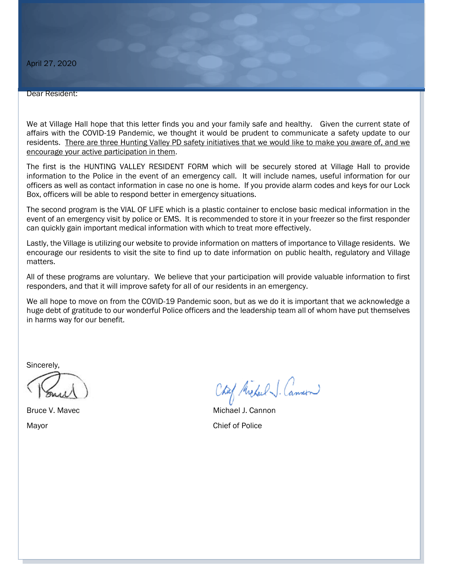## Dear Resident:

We at Village Hall hope that this letter finds you and your family safe and healthy. Given the current state of affairs with the COVID-19 Pandemic, we thought it would be prudent to communicate a safety update to our residents. There are three Hunting Valley PD safety initiatives that we would like to make you aware of, and we encourage your active participation in them.

The first is the HUNTING VALLEY RESIDENT FORM which will be securely stored at Village Hall to provide information to the Police in the event of an emergency call. It will include names, useful information for our officers as well as contact information in case no one is home. If you provide alarm codes and keys for our Lock Box, officers will be able to respond better in emergency situations.

The second program is the VIAL OF LIFE which is a plastic container to enclose basic medical information in the event of an emergency visit by police or EMS. It is recommended to store it in your freezer so the first responder can quickly gain important medical information with which to treat more effectively.

Lastly, the Village is utilizing our website to provide information on matters of importance to Village residents. We encourage our residents to visit the site to find up to date information on public health, regulatory and Village matters.

All of these programs are voluntary. We believe that your participation will provide valuable information to first responders, and that it will improve safety for all of our residents in an emergency.

We all hope to move on from the COVID-19 Pandemic soon, but as we do it is important that we acknowledge a huge debt of gratitude to our wonderful Police officers and the leadership team all of whom have put themselves in harms way for our benefit.

Sincerely,

Chaf Michael J. Cannon

Bruce V. Mavec **Michael J. Cannon** Mayor Chief of Police